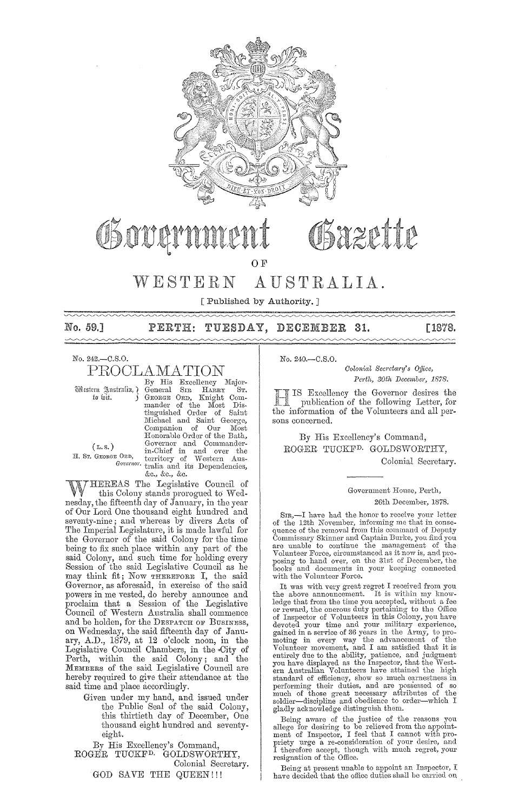

O<sub>F</sub>

## WESTERN AUSTRALIA.

[Published by Authority. ]

No. 59.] PERTH: TUESDAY, DECEMBER 31. [1878.

No. 242.-C.S.0. PROCLAMATION

By His Excellency Major-<br>«Ütstern Justralia, } General SIR HARRY ST. Western Australia, General SIR HARRY ST.<br>
to wit. (GEORGE ORD, Knight Com-<br>
mander of the Most Dismander of the Most Dis-tinguished Order of Saint tinguished Order of Saint<br>Michael and Saint George, Companion of Our Most<br>Honorable Order of the Bath, (L.S.) Governor and Commander-<br>
H. Sr. George Ord, territory of Western Aus-*GorGnwr.* tralia and its Dependencies, &c., &c., &c.

THEREAS The Legislative Council of this Colony stands prorogued to Wednesday, the fifteenth day of January, in the year of Our Lord One thousand eight hundred and seventy-nine; and whereas by divers Acts of The Imperial Legislature, it is made lawful for the Governor of the said Colony for the time being to fix such place within any part of the said Colony, and such time for holding every Session of the said Legislative Council as he may think fit; Now THEREFORE I, the said Governor, as aforesaid, in exercise of the said powers in me vested, do hereby announce and proclaim that a Session of the Legislative Council of 'Westem Australia shall commence and be holden, for the DESPATCH OF BUSINESS, on Wednesday, the said fifteenth day of January, A.D., 1879, at 12 o'clock noon, in the Legislative Council Chambers, in the <City of Perth, within the said Colony; and the MEMBERS of the said Legislative Council are hereby required to give their attendance at the said time and place accordingly.

Given under my hand, and issued under the Public Seal of the said Colony, this thirtieth day of December, One thousand eight hundred and seventyeight.

By His Excellency's Command, ROGER TUCKFD. GOLDSWORTHY, Colonial Secretary. GOD SAVE THE QUEEN!!!

No. 240.-C.S.O.

*Colonial Secretary's Office, Perth, 30th December, 1878.* 

IS Excellency the Govemor desires the publication of the following Letter, for the information of the Volunteers and all persons concerned.

By His Excellency's Command, ROGER TUCKFD. GOLDSWORTHY, Colonial Secretary.

#### Government House, Perth, 26th December, 1878.

SIR,-I have had the honor to receive your letter of the 12th November, informing me that in consequence of the removal from this command of Deputy Commissary Skinner and Captain Burke, you find you are unable to continue the management of the Volunteer Force, circumstanc books and documents in your keeping connected with the Volunteer Force.

It was with very great regret I received from you<br>the above announcement. It is within my know-<br>ledge that from the time you accepted, without a fee or reward, the onerous duty pertaining' to the Office of Inspector of Volunteers in this Colony, you have devoted your time and your military experience, gained in a service of 36 years in the Army, to pro-<br>moting in every way the advancement of the<br>Volunteer movement, and I am satisfied that it is<br>entirely due to the ability, patience, and judgment<br>you have displayed as th performing their duties, and are possessed of so much of those great necessary attributes of the soldier-discipline and obedience to order-which I gladly acknowledge distinguish them.

Being aware of the justice of the reasons you allege for desiring to be relieved from the appoint-<br>ment of Inspector, I feel that I cannot with propriety urge a re-consideration of your desire, and I therefore accept, though with much regret, your resignation of the Office.

Being at present unable to appoint an Inspector, I have decided that the office duties shall be carried on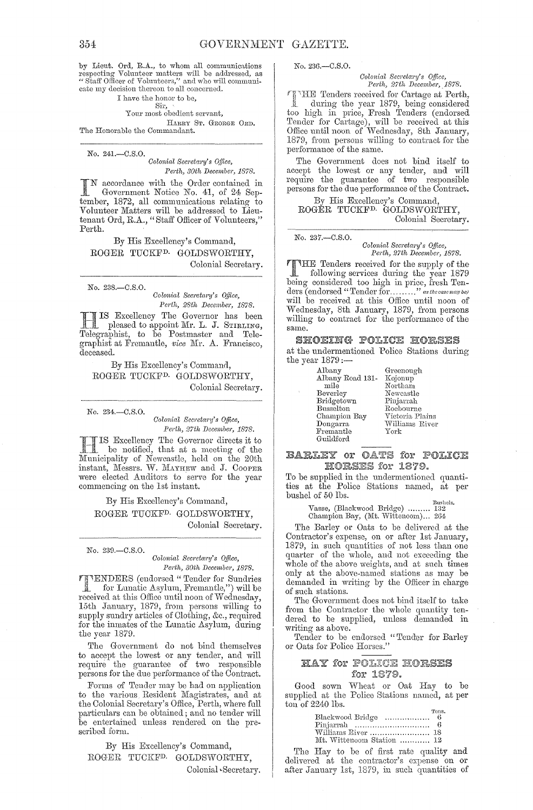by Lieut. Ord, R.A., to whom all communications by mean Columber matters will be addressed, as<br>"Staff Officer of Volunteers," and who will communicate my decision thereon to all concerned.

#### I have the honor to be,

#### Sir, Your most obedient servant,

HARRY ST. GEORGE ORD. The Honorable the Commandant.

No. 241 .- C.S.O. Colonial Secretary's Office,

Perth, 30th December, 1878.

N accordance with the Order contained in Government Notice No. 41, of 24 September, 1872, all communications relating to Volunteer Matters will be addressed to Lieutenant Ord, R.A., "Staff Officer of Volunteers," Perth.

By His Excellency's Command, ROGER TUCKF<sup>D.</sup> GOLDSWORTHY, Colonial Secretary.

No. 238.-C.S.O. Colonial Secretary's Office, Perth, 28th December, 1878.

IS Excellency The Governor has been<br>pleased to appoint Mr. L. J. STIRLING,<br>Telegraphist, to be Postmaster and Telegraphist at Fremantle, vice Mr. A. Francisco, deceased.

By His Excellency's Command, ROGER TUCKF<sup>D.</sup> GOLDSWORTHY, Colonial Secretary.

No. 234,-C.S.O.

Colonial Secretary's Office, Perth, 27th December, 1878.

IS Excellency The Governor directs it to be notified, that at a meeting of the Municipality of Newcastle, held on the 20th<br>instant, Messrs. W. MAYHEW and J. COOPER were elected Auditors to serve for the year commencing on the 1st instant.

By His Excellency's Command, ROGER TUCKF<sup>D.</sup> GOLDSWORTHY, Colonial Secretary.

#### No. 239 .- C.S.O.

Colonial Secretary's Office, Perth, 30th December, 1878.

**TIMERS** (endorsed "Tender for Sundries<br>for Lunatic Asylum, Fremantle,") will be<br>received at this Office until noon of Wednesday, 15th January, 1879, from persons willing to supply sundry articles of Clothing, &c., required<br>for the inmates of the Lunatic Asylum, during the year 1879.

The Government do not bind themselves to accept the lowest or any tender, and will require the guarantee of two responsible persons for the due performance of the Contract.

Forms of Tender may be had on application to the various Resident Magistrates, and at the Colonial Secretary's Office, Perth, where full particulars can be obtained; and no tender will be entertained unless rendered on the prescribed form.

By His Excellency's Command, ROGER TUCKF<sup>D.</sup> GOLDSWORTHY, Colonial Secretary. No. 236,-C.S.O.

Colonial Secretary's Office, Perth, 27th December, 1878.

THE Tenders received for Cartage at Perth,<br>during the year 1879, being considered during the year 1879, being considered<br>too high in price, Fresh Tenders (endorsed Tender for Cartage), will be received at this Office until noon of Wednesday, 8th January, 1879, from persons willing to contract for the performance of the same.

The Government does not bind itself to accept the lowest or any tender, and will require the guarantee of two responsible persons for the due performance of the Contract.

By His Excellency's Command,<br>ROGER TUCKF<sup>D.</sup> GOLDSWORTHY, Colonial Secretary.

No. 237 .- C.S.O. Colonial Secretary's Office, Perth, 27th December, 1878.

THE Tenders received for the supply of the<br>following samples density following services during the year 1879 being considered too high in price, fresh Ten-<br>ders (endorsed "Tender for........." as the case may be) will be received at this Office until noon of Wednesday, 8th January, 1879, from persons willing to contract for the performance of the same.

**SHOEING POLICE HORSES** at the undermentioned Police Stations during the year  $1879$ :-

| Albany           | Greenough       |
|------------------|-----------------|
| Albany Road 131- | Kojonup         |
| mile             | Northam         |
| Beverley         | Newcastle       |
| Bridgetown       | Pinjarrah       |
| <b>Busselton</b> | Roebourne       |
| Champion Bay     | Victoria Plains |
| Dongarra         | Williams River  |
| Fremantle        | York            |
| Guildford        |                 |

#### **BARLEY OF OATS for POLICE** HORSES for 1879.

To be supplied in the undermentioned quantities at the Police Stations named, at per bushel of 50  $\overline{\text{I}}$ bs.

Bushels, (Blackwood Bridge) ........ 132<br>Champion Bay, (Mt. Wittencom)... 264

The Barley or Oats to be delivered at the Contractor's expense, on or after 1st January, 1879, in such quantities of not less than one quarter of the whole, and not exceeding the whole of the above weights, and at such times only at the above-named stations as may be demanded in writing by the Officer in charge of such stations.

The Government does not bind itself to take from the Contractor the whole quantity ten-<br>dered to be supplied, unless demanded in writing as above.

Tender to be endorsed "Tender for Barley<br>or Oats for Police Horses."

#### HAY for POLICE HORSES for 1879.

Good sown Wheat or Oat Hay to be supplied at the Police Stations named, at per  $\overline{\text{ton}}$  of 2240 lbs.

| Blackwood Bridge  6       | Tons. |
|---------------------------|-------|
|                           |       |
|                           |       |
| Mt. Wittenoom Station  12 |       |

The Hay to be of first rate quality and delivered at the contractor's expense on or after January 1st, 1879, in such quantities of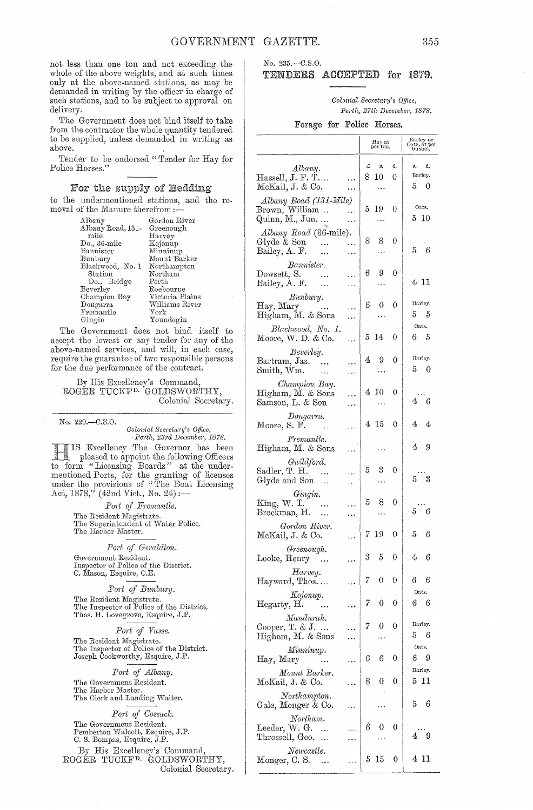not less than one ton and not exceeding the whole of the above weights, and at such times only at the above-named stations, as may be demanded in writing by the officer in charge of such stations, and to be subject to approval on delivery.

The Government does not bind itself to take from the contractor the whole quantity tendered to be supplied, unless demanded in writing as above.

Tender to be endorsed "Tender for Hay for Police Horses."

#### For the supply of Bedding

to the undermentioned stations, and the removal of the Manure therefrom :-

| Albany                       | Gordon River    |
|------------------------------|-----------------|
| Albany Road, 131-            | Greenough       |
| mile                         | Harvey          |
| $\rm Do.$ , 36-mile          | Kojonup         |
| Bannister                    | Minninup        |
| Bunbury                      | Mount Barker    |
| Blackwood, No. 1             | Northampton     |
| Station                      | Northam         |
| Do., Bridge                  | Perth           |
| $\operatorname{Beverley}$    | Roebourne       |
| Champion Bay                 | Victoria Plains |
| $\mathop{\mathrm{Dongarra}}$ | Williams River  |
| Fremantle                    | ${\rm York}$    |
| Gingin                       | Youndegin       |
|                              |                 |

The Government does not bind itself to accept the lowest or any tender for any of the above-named services, and will, in each case, require the guarantee of two responsible persons for the due performance of the contract.

By His Excellency's Command, ROGER TUCKFD. GOLDSWORTHY, Colonial Secretary.

No. 229.-C.S.0.

*Colonial Secretary's Office,* Perth, 23rd December, 1878. Excellency The Governor has been

1883. pleased to appoint the following Officers to form "Licensing Boards" at the undermentioned Ports, for the granting of licenses under the provisions of "The Boat Licensing Act,  $1878$ ," (42nd Vict., No. 24);-

> Port of Fremantle. The Resident Magistrate. The Superintendent of Water Police. The Harbor Master.

> > *Port of Gemldton.*

Government Resident. Inspector of Police of the District.<br>C. Mason, Esquire, C.E.

 $Port$  of Bunbury. The Resident Magistrate. The Inspector of Police of the District. Thos. H. Lovegrove, Esquire, J.P.

#### *P01't of Vasse.*

The Resident Magistrate. The Inspector of Police of the District. Joseph Cookworthy, Esquire, J.P.

*Port of Albany.*  The Government Resident.

The Harbor Master. The Clerk and Landing Waiter.

*P01·t of Cossack.*  The Government Resident.

Pemberton Walcott, Esquire, J.P. C. S. Bompas, Esquire, J.P.

By Ris Excellency's Command, ROGER TUCKFD. GOLDSWORTHY, Colonial Secretary.

#### No. 235.-C.8.0. TENDERS ACCEPTED for 1879.

 $Colonial$  Secretary's Office, *Perth, 27th December, 1878.* 

Forage for Police Horses.

|                                                                                                                    |           | Hay at<br>per ton. |                  | Barley or<br>Oats, at per<br>bushel. |
|--------------------------------------------------------------------------------------------------------------------|-----------|--------------------|------------------|--------------------------------------|
|                                                                                                                    |           |                    |                  |                                      |
| Albany.<br>$\rm Hassell,$ J. F. T<br><br>McKail, J. & Co.<br>.                                                     | £         | s.<br>8 10         | d.<br>0          | s.<br>đ.<br>Barley.<br>50            |
| Albany Road (131-Mile)<br>Brown, William<br>Quinn, M., Jun<br>.<br>.                                               | 5.        | 19<br>.            | 0                | Oats.<br>$5\,$ $10$                  |
| Albany Road (36-mile).<br>Glyde & Son<br>.<br>Bailey, A. F.<br>$\ddotsc$<br>.                                      | 8         | 8<br>              | 0                | $5\quad 6$                           |
| Bannister.<br>Dowsett, S.<br>$\sim$ 100 $\pm$<br>.<br>Bailey, A. F.<br>$\ddotsc$<br>٠.,                            | 6         | 9                  | 0                | 4 11                                 |
| Bunbury.<br>Hay, Mary<br>.<br>Higham, M. & Sons<br>.                                                               | 6         | 0                  | 0                | Barley.<br>5<br>5                    |
| Blackwood, No. 1.<br>Moore, W. D. & Co.<br>.                                                                       |           | 514                | 0                | Oats.<br>6<br>- 5                    |
| Beverley.<br>Bartram, Jas.<br>.<br>$\mathop{\rm Smith}\nolimits, \mathop{\rm Wm}\nolimits.$<br>$\ldots$<br>        | 4         | 9<br>۰.,           | 0                | Barley.<br>50                        |
| Champion Bay.<br>Higham, M. & Sons<br>Samson, L. & Son<br>.                                                        | $\ddotsc$ | 410<br>.           | 0                | 46                                   |
| Dongarra.<br>Moore, S. F. $\qquad \dots$<br>.                                                                      |           | 415                | 0                | 4<br>4                               |
| Fremantle.<br>Higham, M. & Sons<br>.                                                                               |           |                    |                  | 49                                   |
| Guildford.<br>Sadler, T. H.<br>$\sim$ 144<br>Glyde and Son                                                         | 5         | 3                  | 0                | 5 3                                  |
| Gingin.<br>$\mathrm{King},\,\mathrm{W}.$ T.<br>$\sim$ $\sim$<br>$\overline{\text{Brockman}}, \overline{\text{H}}.$ | 5         | 8                  | 0                | $5^{--}6$                            |
| Gordon River.<br>McKail, J. & Co.                                                                                  | 7         | 19                 | 0                | $5^{\circ}$<br>6                     |
| Greenough.<br>Looke, Henry                                                                                         | 3         | $\mathbf 5$        | $\boldsymbol{0}$ | $4\quad 6$                           |
| Harvey.<br>Hayward, Thos                                                                                           | 7         | $\mathbf 0$        | 0                | 66                                   |
| Kojonup.<br>Hegarty, H.<br>                                                                                        | 7         | 0                  | 0                | Oats.<br>6<br>-6                     |
| Mandurah.<br>Cooper, T. & J.<br>Higham, M. & Sons                                                                  | 7         | 0                  | 0                | Barley.<br>5<br>- 6                  |
| Minninup.<br>Hay, Mary                                                                                             | 6         | 6                  | 0                | Oats.<br>6<br>-9                     |
| Mount Barker.<br>McKail, J. & Co.                                                                                  | 8         | 0                  | 0                | Barley.<br>5 11                      |
| Northampton.<br>Gale, Monger & Co.                                                                                 |           |                    |                  | 5<br>6                               |
| Northam.<br>Leeder, W. G.<br>$\ldots$<br>Throssell, Geo.<br>$\ddotsc$                                              | Ġ         | 0                  | 0                | 49                                   |
| Newcastle.<br>Monger, C. S.                                                                                        | 5         | 15                 | 0                | 4 11                                 |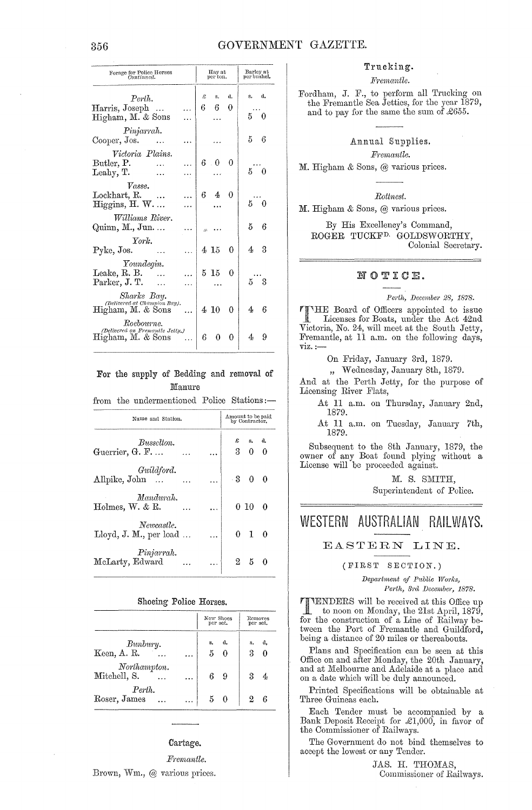#### GOVERNMENT GAZETTE.

| Forage for Police Horses<br>Continued.                             | Hay at<br>per ton. | Barley at<br>per bushel. |  |  |
|--------------------------------------------------------------------|--------------------|--------------------------|--|--|
| Perth.                                                             | Ŀ<br>đ.<br>s.      | a.<br>s. I               |  |  |
| Harris, Joseph<br>Higham, M. & Sons                                | 6.<br>6<br>0       | $5\quad 0$               |  |  |
| Pinjarrah.<br>Cooper, Jos.<br>٠.                                   |                    | $5\quad 6$               |  |  |
| Victoria Plains.<br>Butler, P.                                     | $6\pm 0$<br>0      | $5\quad 0$               |  |  |
| Leahy, T.<br>Vasse.<br>Lockhart, R.<br>$\sim$ $\sim$ $\sim$        | $6\quad 4\quad 0$  |                          |  |  |
| Higgsins, H. W.                                                    |                    | $5^{++}0$                |  |  |
| Williams River.<br>Quinn, M., Jun.                                 |                    | 56                       |  |  |
| York.<br>Pyke, Jos.<br>.                                           | 4 15<br>0          | 43                       |  |  |
| Youndegin.<br>Leake, R. B.<br>Parker, J. T.                        | $5\,15$<br>0       | 5 <sub>3</sub>           |  |  |
| Sharks Bay.<br>(Delivered at Champion Bay).<br>Higham, M. & Sons   | 4 10<br>0          | 4 <sup>1</sup><br>6      |  |  |
| Roebourne.<br>(Delivered on Fremantle Jetty,)<br>Higham, M. & Sons | 6<br>0<br>0        | 4 <sup>1</sup><br>9      |  |  |

#### For the supply of Bedding and removal of Manure

from the undermentioned Police Stations:-

| Name and Station.                    | Amount to be paid<br>by Contractor. |                              |                   |     |  |
|--------------------------------------|-------------------------------------|------------------------------|-------------------|-----|--|
| Busselton.<br>Guerrier, G. F         |                                     | $\pmb{\mathcal{Z}}$<br>$3 -$ | $S_{\bullet}$     | d.  |  |
| Guildford.<br>Allpike, John          |                                     |                              | $-3$ 0            |     |  |
| Mandurah.<br>Holmes, $W$ . & R.      |                                     |                              | $0\,10$           | - 0 |  |
| Newcastle.<br>Lloyd, J. M., per load |                                     |                              | $0\quad 1\quad 0$ |     |  |
| Pinjarrah.<br>McLarty, Edward        |                                     |                              | $2\quad 5\quad 0$ |     |  |

#### Shoeing Police Horses.

|                              |   | New Shoes<br>per set. |     |    | Removes<br>per set. |
|------------------------------|---|-----------------------|-----|----|---------------------|
| Bunbury.<br>Keen, A. R.      |   | s.<br>5               | -d. | s. | đ.                  |
| Northampton.<br>Mitchell, S. | . |                       | -9  | 3  |                     |
| Perth.<br>Roser, James       |   |                       | 50  |    |                     |

#### Cartage.

Fremantle. Brown, Wm., @ various prices.

#### Trucking.

Fremantle.

Fordham, J. F., to perform all Trucking on the Fremantle Sea Jetties, for the year 1879, and to pay for the same the sum of £655.

#### Annual Supplies.

Fremantle.

M. Higham & Sons, @ various prices.

Rottnest.

M. Higham & Sons, @ various prices.

By His Excellency's Command, ROGER TUCKF<sup>D.</sup> GOLDSWORTHY. Colonial Secretary.

#### NOTICE.

Perth, December 28, 1878.

**TIME** Board of Officers appointed to issue Licenses for Boats, under the Act 42nd Victoria, No. 24, will meet at the South Jetty, Fremantle, at 11 a.m. on the following days,  $\overline{\text{viz.}}$ :-

On Friday, January 3rd, 1879.

" Wednesday, January 8th, 1879.

And at the Perth Jetty, for the purpose of Licensing River Flats,

At 11 a.m. on Thursday, January 2nd, 1879.

At 11 a.m. on Tuesday, January 7th, 1879.

Subsequent to the 8th January, 1879, the owner of any Boat found plying without a License will be proceeded against.

> M. S. SMITH, Superintendent of Police.

## WESTERN AUSTRALIAN RAILWAYS.

#### EASTERN LINE.

#### (FIRST SECTION.)

Department of Public Works, Perth, 3rd December, 1878.

TTENDERS will be received at this Office up<br>to noon on Monday the 21 to noon on Monday, the 21st April, 1879, for the construction of a Line of Railway between the Port of Fremantle and Guildford, being a distance of 20 miles or thereabouts.

Plans and Specification can be seen at this Office on and after Monday, the 20th January, and at Melbourne and Adelaide at a place and on a date which will be duly announced.

Printed Specifications will be obtainable at Three Guineas each.

Each Tender must be accompanied by a Bank Deposit Receipt for £1,000, in favor of the Commissioner of Railways.

The Government do not bind themselves to accept the lowest or any Tender.

> JAS. H. THOMAS, Commissioner of Railways.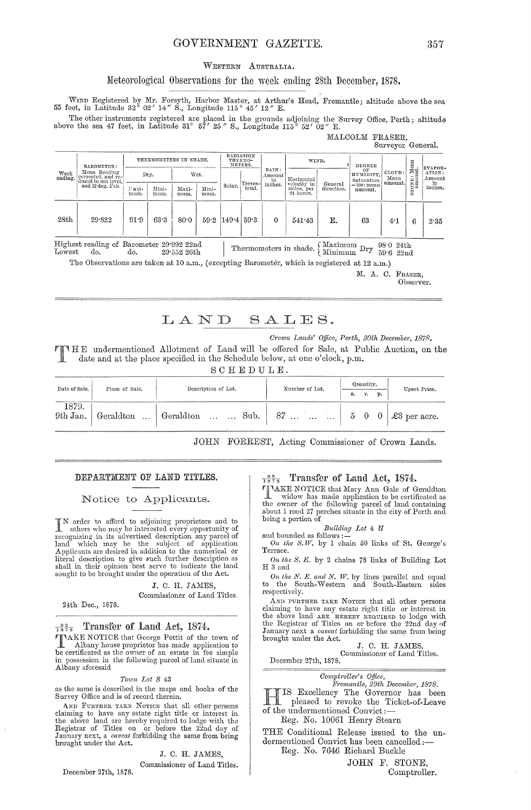#### GOVERNMENT GAZETTE.

#### WESTERN AUSTRALIA.

#### Meteorological Observations for the week ending 28th December, 1878.

WIND Registered by Mr. Forsyth, Harbor Master, at Arthur's Head, Fremantle; altitude above the sea 55 feet, in Latitude 32° 02' 14" S., Longitude 115° 45' 12" E.

The other instruments registered are placed in the grounds adjoining the Survey Office, Perth; altitude above the sea 47 feet, in Latitude 31° 57' 25" S., Longitude 115° 52' 02" E.

|                 |                                                           |                        |               |                               |                                             |                                    |         |          |                                        |                       |                          | Surveyor General. |                 |               |
|-----------------|-----------------------------------------------------------|------------------------|---------------|-------------------------------|---------------------------------------------|------------------------------------|---------|----------|----------------------------------------|-----------------------|--------------------------|-------------------|-----------------|---------------|
|                 | BAROMETER:                                                | THERMOMETERS IN SHADE. |               |                               |                                             | RADIATION<br>THERMO-<br>METERS.    |         |          | WIND.                                  |                       | <b>DEGREE</b>            |                   | $^{Mean}_{n_t}$ | EVAPOR-       |
| Week<br>ending. | Mean Reading<br>corrected, and re-<br>duced to sea level. |                        | Dry.          | RAIN:<br>Wet.<br>Amount<br>in | OF<br>HUMIDITY.<br>Horizontal<br>Saturation |                                    |         |          | CLOUD:<br>Mean<br>amount.              | ATION:<br>Amount      |                          |                   |                 |               |
|                 | and 32 deg. Fah.                                          | Naxi-<br>mum.          | Mini-<br>mum. | Maxi-<br>mum.                 | Mini-<br>mum.                               | Solar.                             | Terres- | inches.  | velocity in<br>miles, per<br>24 hours. | General<br>direction. | $=100$ : mean<br>amount. |                   | $\frac{1}{2}$   | in<br>inches. |
| 28th            | 29.822                                                    | 91.9                   | 63.3          | 80.0                          |                                             | $59.2 \left\{ 149.4 \right\} 59.3$ |         | $\theta$ | 541.43                                 | Ε.                    | 63                       | 4.1               | 6               | 2.35          |

Highest reading of Barometer 29.992 22nd Thermometers in shade.  $\left\{\begin{array}{l}\text{Maximum}\ \text{Dry}\ \text{38:0}\ \text{24th} \\ \text{Minimum}\ \text{Dry}\ \text{59:6}\ \text{22nd} \end{array}\right.$ Lowest do. do.  $29\mathchar`-552$ 26th

The Observations are taken at 10 a.m., (excepting Barometer, which is registered at 12 a.m.) M. A. C. FRASER.

Observer.

### LAND SALES.

Crown Lands' Office, Perth, 30th December, 1878.

MALCOLM FRASER,

THE undermentioned Allotment of Land will be offered for Sale, at Public Auction, on the date and at the place specified in the Schedule below, at one o'clock, p.m.  $\alpha$   $\alpha$   $\pi$   $\pi$   $\pi$   $\pi$   $\tau$ 

| . . | $\sim$ | . | ٠ | ш |  |  |
|-----|--------|---|---|---|--|--|
|     |        |   |   |   |  |  |

| Date of Sale.     | Place of Sale. | Description of Lot.           | Number of Lot.                                   | Quantity. |                |  |  | Upset Price. |  |
|-------------------|----------------|-------------------------------|--------------------------------------------------|-----------|----------------|--|--|--------------|--|
|                   |                |                               |                                                  |           | p.<br>а.<br>r. |  |  |              |  |
| 1879.<br>9th Jan. |                | Geraldton    Geraldton   Sub. | $87 \ldots \ldots \ldots \mid 5 \quad 0 \quad 0$ |           |                |  |  | £3 per acre. |  |

JOHN FORREST, Acting Commissioner of Crown Lands.

#### DEPARTMENT OF LAND TITLES.

Notice to Applicants.

No order to afford to adjoining proprietors and to<br>thers who may be interested every opportunity of<br>recognizing in its advertised description any parcel of<br>land which may be the subject of application<br>Applicants are desire Iteral description to give such further description as<br>shall in their opinion best serve to indicate the land sought to be brought under the operation of the Act.

> J. C. H. JAMES, Commissioner of Land Titles.

24th Dec., 1878.

#### Transfer of Land Act, 1874.  $\frac{92}{1878}$

TAKE NOTICE that George Pettit of the town of The about of the property has property that the certificated as the owner of an estate in fee simple<br>in possession in the following parcel of land situate in<br>Albany aforesaid

#### Town Lot S 43

as the same is described in the maps and books of the Survey Office and is of record therein.

AND FURTHER TAKE NOTICE that all other persons claiming to have any estate right title or interest in the above land are hereby required to lodge with the Registrar of Titles on or before the 22nd day of January next, a *caveat* forbidding the same from being brought under the Act.

J. C. H. JAMES.

Commissioner of Land Titles.

December 27th, 1878.

 $\frac{9.8}{1.878}$  Transfer of Land Act, 1874.

FINAKE NOTICE that Mary Ann Gale of Geraldton<br>widow has made application to be certificated as the owner of the following parcel of land containing<br>about 1 rood 27 perches situate in the city of Perth and being a portion of

 $\it Building\ \; Lot\ 4\;\;H$ 

and bounded as follows:<br> $\frac{3}{2}$  On the S.W. by 1 chain 50 links of St. George's Terrace.

On the S. E. by 2 chains 78 links of Building Lot  $H_3$  and

 $\label{eq:1} On\ the\ N.\ E.\ and\ N.\ W.\ by\ lines\ parallel\ and\ equal\ to\ the\ South-Western\ and\ South-Eastern\ sides$ respectively.

AND FURTHER TAKE NOTICE that all other persons claiming to have any estate right title or interest in the Registrar of Titles on or before the 22nd day of January next a caveat forbidding the same from being brought under the Act.

J. C. H. JAMES Commissioner of Land Titles.

December 27th, 1878.

Comptroller's Office,<br>Fremantle, 29th December, 1878. IS Excellency The Governor has been THIS Excellency The OUTCOME The Ticket-of-Leave of the undermentioned Convict:-

Reg. No. 10061 Henry Stearn

THE Conditional Release issued to the undermentioned Convict has been cancelled :-

Reg. No. 7646 Richard Buckle

JOHN F. STONE, Comptroller.